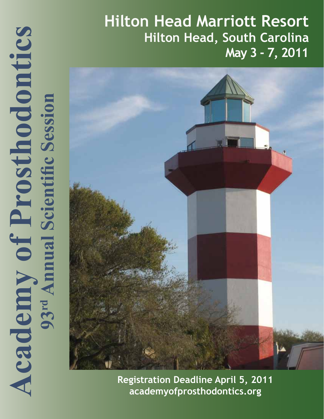# **Academy of Prosthodontics**<br>93<sup>rd</sup> Amual Scientific Session **Academy of Prosthodontics 93rd Annual Scientific Session**

## **Hilton Head Marriott Resort Hilton Head, South Carolina May 3 - 7, 2011**



**Registration Deadline April 5, 2011 academyofprosthodontics.org**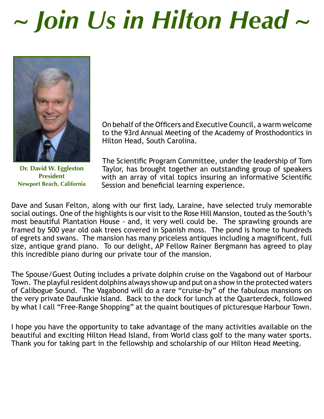# *~ Join Us in Hilton Head ~*



**Dr. David W. Eggleston President Newport Beach, California**

On behalf of the Officers and Executive Council, a warm welcome to the 93rd Annual Meeting of the Academy of Prosthodontics in Hilton Head, South Carolina.

The Scientific Program Committee, under the leadership of Tom Taylor, has brought together an outstanding group of speakers with an array of vital topics insuring an informative Scientific Session and beneficial learning experience.

Dave and Susan Felton, along with our first lady, Laraine, have selected truly memorable social outings. One of the highlights is our visit to the Rose Hill Mansion, touted as the South's most beautiful Plantation House - and, it very well could be. The sprawling grounds are framed by 500 year old oak trees covered in Spanish moss. The pond is home to hundreds of egrets and swans. The mansion has many priceless antiques including a magnificent, full size, antique grand piano. To our delight, AP Fellow Rainer Bergmann has agreed to play this incredible piano during our private tour of the mansion.

The Spouse/Guest Outing includes a private dolphin cruise on the Vagabond out of Harbour Town. The playful resident dolphins always show up and put on a show in the protected waters of Calibogue Sound. The Vagabond will do a rare "cruise-by" of the fabulous mansions on the very private Daufuskie Island. Back to the dock for lunch at the Quarterdeck, followed by what I call "Free-Range Shopping" at the quaint boutiques of picturesque Harbour Town.

I hope you have the opportunity to take advantage of the many activities available on the beautiful and exciting Hilton Head Island, from World class golf to the many water sports. Thank you for taking part in the fellowship and scholarship of our Hilton Head Meeting.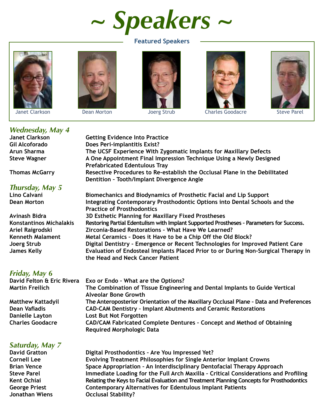*~ Speakers ~*

### **Featured Speakers**









Janet Clarkson Dean Morton Joerg Strub Charles Goodacre Steve Parel



### *Wednesday, May 4*

### *Thursday, May 5*

*Friday, May 6* 

### *Saturday, May 7*

**Getting Evidence Into Practice Gil Alcoforado Does Peri-implantitis Exist? Arun Sharma The UCSF Experience With Zygomatic Implants for Maxillary Defects Steve Wagner A One Appointment Final Impression Technique Using a Newly Designed Prefabricated Edentulous Tray Thomas McGarry Resective Procedures to Re-establish the Occlusal Plane in the Debilitated Dentition – Tooth/Implant Divergence Angle Lino Calvani Biomechanics and Biodynamics of Prosthetic Facial and Lip Support Dean Morton Integrating Contemporary Prosthodontic Options into Dental Schools and the Practice of Prosthodontics Avinash Bidra 3D Esthetic Planning for Maxillary Fixed Prostheses Konstantinos Michalakis Restoring Partial Edentulism with Implant Supported Prostheses – Parameters for Success.**

**Ariel Raigrodski Zirconia-Based Restorations – What Have We Learned? Kenneth Malament Metal Ceramics – Does it Have to be a Chip Off the Old Block? Joerg Strub Digital Dentistry – Emergence or Recent Technologies for Improved Patient Care James Kelly Evaluation of Endosteal Implants Placed Prior to or During Non-Surgical Therapy in the Head and Neck Cancer Patient**

**Exo or Endo - What are the Options? Martin Freilich The Combination of Tissue Engineering and Dental Implants to Guide Vertical Alveolar Bone Growth Matthew Kattadyil The Anteroposterior Orientation of the Maxillary Occlusal Plane – Data and Preferences Dean Vafiadis CAD-CAM Dentistry – Implant Abutments and Ceramic Restorations Danielle Layton Lost But Not Forgotten Charles Goodacre CAD/CAM Fabricated Complete Dentures – Concept and Method of Obtaining Required Morphologic Data**

**Digital Prosthodontics - Are You Impressed Yet? Cornell Lee Evolving Treatment Philosophies for Single Anterior Implant Crowns Brian Vence Space Appropriation – An Interdisciplinary Dentofacial Therapy Approach Steve Parel Immediate Loading for the Full Arch Maxilla – Critical Considerations and Profiling Kent Ochiai Relating the Keys to Facial Evaluation and Treatment Planning Concepts for Prosthodontics George Priest Contemporary Alternatives for Edentulous Implant Patients Jonathan Wiens Occlusal Stability?**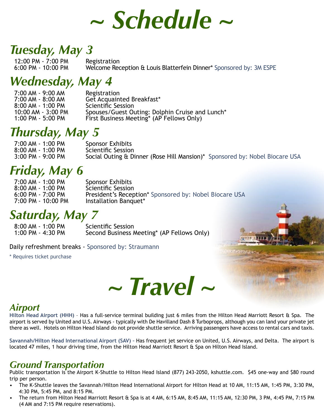

### *Tuesday, May 3*

12:00 PM - 7:00 PM Registration<br>6:00 PM - 10:00 PM Welcome Rec

Welcome Reception & Louis Blatterfein Dinner\* Sponsored by: 3M ESPE

### *Wednesday, May 4*

7:00 AM - 9:00 AM Registration<br>7:00 AM - 8:00 AM Get Acquain Get Acquainted Breakfast\*<br>Scientific Session 8:00 AM - 1:00 PM<br>10:00 AM - 3:00 PM 10:00 AM - 3:00 PM Spouses/Guest Outing: Dolphin Cruise and Lunch\*<br>1:00 PM - 5:00 PM First Business Meeting\* (AP Fellows Only) First Business Meeting\* (AP Fellows Only)

### *Thursday, May 5*

7:00 AM - 1:00 PM Sponsor Exhibits<br>8:00 AM - 1:00 PM Scientific Session 8:00 AM - 1:00 PM<br>3:00 PM - 9:00 PM Social Outing & Dinner (Rose Hill Mansion)\* Sponsored by: Nobel Biocare USA

### *Friday, May 6*

7:00 AM - 1:00 PM Sponsor Exhibits<br>8:00 AM - 1:00 PM Scientific Session 8:00 AM - 1:00 PM<br>6:00 PM - 7:00 PM 6:00 PM - 7:00 PM President's Reception\* Sponsored by: Nobel Biocare USA<br>7:00 PM - 10:00 PM Installation Banguet\* Installation Banquet\*

### *Saturday, May 7*

8:00 AM - 1:00 PM Scientific Session<br>1:00 PM - 4:30 PM Second Business A Second Business Meeting\* (AP Fellows Only)

Daily refreshment breaks - Sponsored by: Straumann

\* Requires ticket purchase



### *Airport*

**Hilton Head Airport (HHH)** – Has a full-service terminal building just 6 miles from the Hilton Head Marriott Resort & Spa. The airport is served by United and U.S. Airways - typically with De Havilland Dash 8 Turboprops, although you can land your private jet there as well. Hotels on Hilton Head Island do not provide shuttle service. Arriving passengers have access to rental cars and taxis.

**Savannah/Hilton Head International Airport (SAV) –** Has frequent jet service on United, U.S. Airways, and Delta. The airport is located 47 miles, 1 hour driving time, from the Hilton Head Marriott Resort & Spa on Hilton Head Island.

### *Ground Transportation*

Public transportation is the Airport K-Shuttle to Hilton Head Island (877) 243-2050, kshuttle.com. \$45 one-way and \$80 round trip per person.

- The K-Shuttle leaves the Savannah/Hilton Head International Airport for Hilton Head at 10 AM, 11:15 AM, 1:45 PM, 3:30 PM, 4:30 PM, 5:45 PM, and 8:15 PM.
- The return from Hilton Head Marriott Resort & Spa is at 4 AM, 6:15 AM, 8:45 AM, 11:15 AM, 12:30 PM, 3 PM, 4:45 PM, 7:15 PM (4 AM and 7:15 PM require reservations).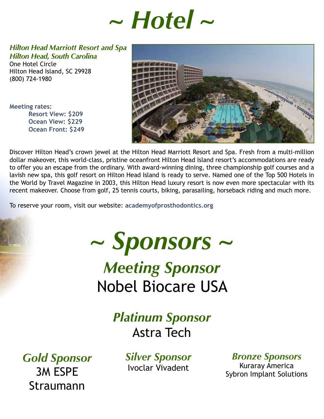# *~ Hotel ~*

*Hilton Head Marriott Resort and Spa Hilton Head, South Carolina*

One Hotel Circle Hilton Head Island, SC 29928 (800) 724-1980

**Meeting rates: Resort View: \$209 Ocean View: \$229 Ocean Front: \$249**



Discover Hilton Head's crown jewel at the Hilton Head Marriott Resort and Spa. Fresh from a multi-million dollar makeover, this world-class, pristine oceanfront Hilton Head Island resort's accommodations are ready to offer you an escape from the ordinary. With award-winning dining, three championship golf courses and a lavish new spa, this golf resort on Hilton Head Island is ready to serve. Named one of the Top 500 Hotels in the World by Travel Magazine in 2003, this Hilton Head luxury resort is now even more spectacular with its recent makeover. Choose from golf, 25 tennis courts, biking, parasailing, horseback riding and much more.

To reserve your room, visit our website: **academyofprosthodontics.org**

*~ Sponsors ~ Meeting Sponsor* Nobel Biocare USA

> *Platinum Sponsor* Astra Tech

*Gold Sponsor* 3M ESPE Straumann

*Silver Sponsor* Ivoclar Vivadent

*Bronze Sponsors*

Kuraray America Sybron Implant Solutions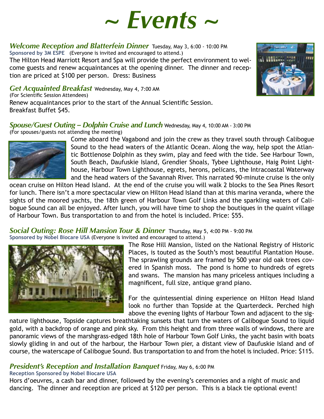

*Welcome Reception and Blatterfein Dinner* Tuesday, May 3, 6:00 - 10:00 PM **Sponsored by 3M ESPE** (Everyone is invited and encouraged to attend.)

The Hilton Head Marriott Resort and Spa will provide the perfect environment to welcome guests and renew acquaintances at the opening dinner. The dinner and reception are priced at \$100 per person. Dress: Business

*Get Acquainted Breakfast* Wednesday, May 4, 7:00 AM (For Scientific Session Attendees)

Renew acquaintances prior to the start of the Annual Scientific Session. Breakfast Buffet \$45.

### *Spouse/Guest Outing – Dolphin Cruise and Lunch* Wednesday, May 4, 10:00 AM - 3:00 PM

(For spouses/guests not attending the meeting)



Come aboard the Vagabond and join the crew as they travel south through Calibogue Sound to the head waters of the Atlantic Ocean. Along the way, help spot the Atlantic Bottlenose Dolphin as they swim, play and feed with the tide. See Harbour Town, South Beach, Daufuskie Island, Grendier Shoals, Tybee Lighthouse, Haig Point Lighthouse, Harbour Town Lighthouse, egrets, herons, pelicans, the Intracoastal Waterway and the head waters of the Savannah River. This narrated 90-minute cruise is the only

ocean cruise on Hilton Head Island. At the end of the cruise you will walk 2 blocks to the Sea Pines Resort for lunch. There isn't a more spectacular view on Hilton Head Island than at this marina veranda, where the sights of the moored yachts, the 18th green of Harbour Town Golf Links and the sparkling waters of Calibogue Sound can all be enjoyed. After lunch, you will have time to shop the boutiques in the quaint village of Harbour Town. Bus transportation to and from the hotel is included. Price: \$55.

### *Social Outing: Rose Hill Mansion Tour & Dinner* Thursday, May 5, 4:00 PM - 9:00 PM **Sponsored by Nobel Biocare USA** (Everyone is invited and encouraged to attend.)



The Rose Hill Mansion, listed on the National Registry of Historic Places, is touted as the South's most beautiful Plantation House. The sprawling grounds are framed by 500 year old oak trees covered in Spanish moss. The pond is home to hundreds of egrets and swans. The mansion has many priceless antiques including a magnificent, full size, antique grand piano.

For the quintessential dining experience on Hilton Head Island look no further than Topside at the Quarterdeck. Perched high above the evening lights of Harbour Town and adjacent to the sig-

nature lighthouse, Topside captures breathtaking sunsets that turn the waters of Calibogue Sound to liquid gold, with a backdrop of orange and pink sky. From this height and from three walls of windows, there are panoramic views of the marshgrass-edged 18th hole of Harbour Town Golf Links, the yacht basin with boats slowly gliding in and out of the harbour, the Harbour Town pier, a distant view of Daufuskie Island and of course, the waterscape of Calibogue Sound. Bus transportation to and from the hotel is included. Price: \$115.

### *President's Reception and Installation Banquet* Friday, May 6, 6:00 PM

### **Reception Sponsored by Nobel Biocare USA**

Hors d'oeuvres, a cash bar and dinner, followed by the evening's ceremonies and a night of music and dancing. The dinner and reception are priced at \$120 per person. This is a black tie optional event!

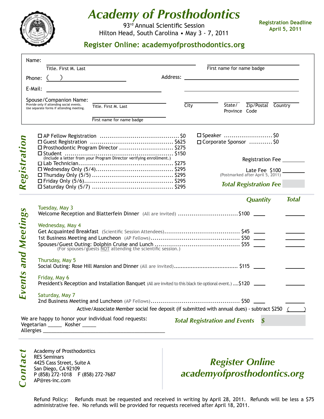

### *Academy of Prosthodontics*

93rd Annual Scientific Session Hilton Head, South Carolina • May 3 - 7, 2011 **Registration Deadline April 5, 2011**

### **Register Online: academyofprosthodontics.org**

| Name:       |                                                                                      |  |                           |                                                                     |                                                                                                               |  |                                      |                               |                    |              |
|-------------|--------------------------------------------------------------------------------------|--|---------------------------|---------------------------------------------------------------------|---------------------------------------------------------------------------------------------------------------|--|--------------------------------------|-------------------------------|--------------------|--------------|
|             | Title. First M. Last                                                                 |  |                           |                                                                     |                                                                                                               |  | First name for name badge            |                               |                    |              |
|             | Phone: $\begin{pmatrix} 0 & 1 \\ 0 & 1 \end{pmatrix}$                                |  |                           |                                                                     |                                                                                                               |  |                                      |                               |                    |              |
| E-Mail:     |                                                                                      |  |                           |                                                                     |                                                                                                               |  |                                      |                               |                    |              |
|             | Spouse/Companion Name:                                                               |  |                           |                                                                     |                                                                                                               |  |                                      |                               |                    |              |
|             | Provide only if attending social events.<br>Use separate forms if attending meeting. |  | Title. First M. Last      |                                                                     | City                                                                                                          |  | State/                               |                               | Zip/Postal Country |              |
|             |                                                                                      |  |                           |                                                                     |                                                                                                               |  | Province Code                        |                               |                    |              |
|             |                                                                                      |  | First name for name badge |                                                                     |                                                                                                               |  |                                      |                               |                    |              |
|             |                                                                                      |  |                           |                                                                     |                                                                                                               |  | $\square$ Speaker  \$0               |                               |                    |              |
| gistration  | □ Prosthodontic Program Director  \$275                                              |  |                           |                                                                     |                                                                                                               |  | □ Corporate Sponsor  \$0             |                               |                    |              |
|             |                                                                                      |  |                           | (Include a letter from your Program Director verifying enrollment.) |                                                                                                               |  |                                      |                               |                    |              |
|             |                                                                                      |  |                           |                                                                     |                                                                                                               |  |                                      | Registration Fee ________     |                    |              |
|             |                                                                                      |  |                           |                                                                     |                                                                                                               |  |                                      |                               |                    |              |
| $\bullet$   |                                                                                      |  |                           |                                                                     |                                                                                                               |  |                                      |                               |                    |              |
| $\approx$   |                                                                                      |  |                           |                                                                     |                                                                                                               |  |                                      | <b>Total Registration Fee</b> |                    |              |
|             |                                                                                      |  |                           |                                                                     |                                                                                                               |  |                                      | <b>Quantity</b>               |                    | <b>Total</b> |
| $\bullet$   | Tuesday, May 3                                                                       |  |                           |                                                                     |                                                                                                               |  |                                      |                               |                    |              |
|             |                                                                                      |  |                           |                                                                     | Welcome Reception and Blatterfein Dinner (All are invited) \$100 ____                                         |  |                                      |                               |                    |              |
| and Meeting | Wednesday, May 4                                                                     |  |                           |                                                                     |                                                                                                               |  |                                      |                               |                    |              |
|             |                                                                                      |  |                           |                                                                     |                                                                                                               |  |                                      |                               |                    |              |
|             |                                                                                      |  |                           |                                                                     |                                                                                                               |  |                                      |                               |                    |              |
|             |                                                                                      |  |                           |                                                                     |                                                                                                               |  |                                      |                               |                    |              |
|             | Thursday, May 5                                                                      |  |                           |                                                                     |                                                                                                               |  |                                      |                               |                    |              |
|             |                                                                                      |  |                           |                                                                     |                                                                                                               |  |                                      |                               |                    |              |
|             | Friday, May 6                                                                        |  |                           |                                                                     |                                                                                                               |  |                                      |                               |                    |              |
| ents        |                                                                                      |  |                           |                                                                     | President's Reception and Installation Banquet (All are invited to this black tie optional event.) \$120 ____ |  |                                      |                               |                    |              |
| ш           | Saturday, May 7                                                                      |  |                           |                                                                     |                                                                                                               |  |                                      |                               |                    |              |
|             |                                                                                      |  |                           |                                                                     |                                                                                                               |  |                                      |                               |                    |              |
|             |                                                                                      |  |                           |                                                                     | Active/Associate Member social fee deposit (if submitted with annual dues) - subtract \$250 ( )               |  |                                      |                               |                    |              |
|             | We are happy to honor your individual food requests:                                 |  |                           |                                                                     |                                                                                                               |  | <b>Total Registration and Events</b> | $\boldsymbol{\mathsf{S}}$     |                    |              |
|             | Vegetarian ______ Kosher ______                                                      |  |                           |                                                                     |                                                                                                               |  |                                      |                               |                    |              |
|             |                                                                                      |  |                           |                                                                     |                                                                                                               |  |                                      |                               |                    |              |
|             |                                                                                      |  |                           |                                                                     |                                                                                                               |  |                                      |                               |                    |              |
|             | Academy of Prosthodontics<br><b>RES Seminars</b>                                     |  |                           |                                                                     |                                                                                                               |  |                                      |                               |                    |              |
|             | 4425 Cass Street, Suite A                                                            |  |                           |                                                                     | <b>Register Online</b>                                                                                        |  |                                      |                               |                    |              |
|             | San Diego, CA 92109<br>P (858) 272-1018 F (858) 272-7687                             |  |                           |                                                                     | academyofprosthodontics.org                                                                                   |  |                                      |                               |                    |              |
| Contac      | AP@res-inc.com                                                                       |  |                           |                                                                     |                                                                                                               |  |                                      |                               |                    |              |
|             |                                                                                      |  |                           |                                                                     |                                                                                                               |  |                                      |                               |                    |              |

### *Register Online academyofprosthodontics.org*

Refund Policy: Refunds must be requested and received in writing by April 28, 2011. Refunds will be less a \$75 administrative fee. No refunds will be provided for requests received after April 18, 2011.